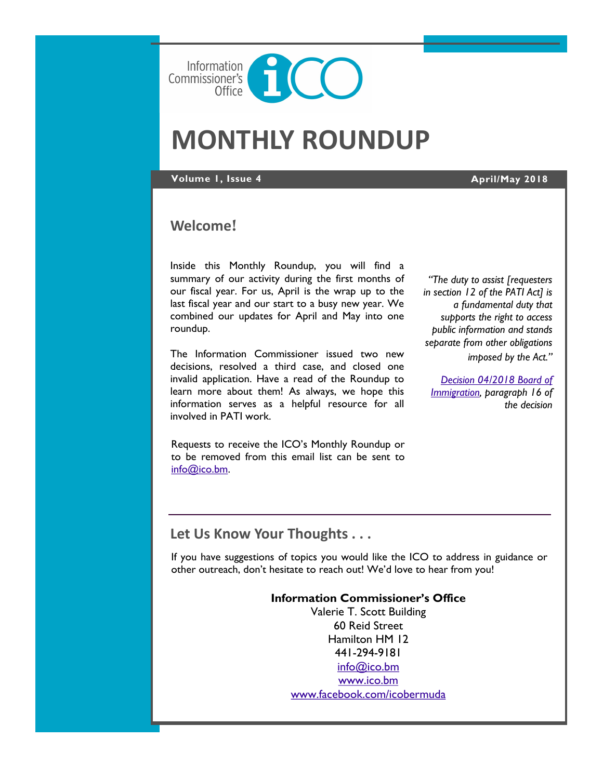

# **MONTHLY ROUNDUP**

**Volume 1, Issue 4 April/May 2018**

# **Welcome**!

Inside this Monthly Roundup, you will find a summary of our activity during the first months of our fiscal year. For us, April is the wrap up to the last fiscal year and our start to a busy new year. We combined our updates for April and May into one roundup.

The Information Commissioner issued two new decisions, resolved a third case, and closed one invalid application. Have a read of the Roundup to learn more about them! As always, we hope this information serves as a helpful resource for all involved in PATI work.

Requests to receive the ICO's Monthly Roundup or to be removed from this email list can be sent to [info@ico.bm.](mailto:info@ico.bm)

*"The duty to assist [requesters in section 12 of the PATI Act] is a fundamental duty that supports the right to access public information and stands separate from other obligations imposed by the Act."*

*[Decision 04/2018 Board of](https://docs.wixstatic.com/ugd/5803dc_e01bac78fe354d948abe8c7e4fba582b.pdfC:/Users/gsgutierrez/Documents/ACT)  [Immigration,](https://docs.wixstatic.com/ugd/5803dc_e01bac78fe354d948abe8c7e4fba582b.pdfC:/Users/gsgutierrez/Documents/ACT) paragraph 16 of the decision*

# **Let Us Know Your Thoughts . . .**

If you have suggestions of topics you would like the ICO to address in guidance or other outreach, don't hesitate to reach out! We'd love to hear from you!

#### **Information Commissioner's Office**

Valerie T. Scott Building 60 Reid Street Hamilton HM 12 441-294-9181 [info@ico.bm](mailto:info@ico.bm) [www.ico.bm](http://www.ico.bm) [www.facebook.com/icobermuda](http://www.facebook.com/icobermuda/ICOFS01S/Folder-Redirection$/gsgutierrez/Documents/Admin)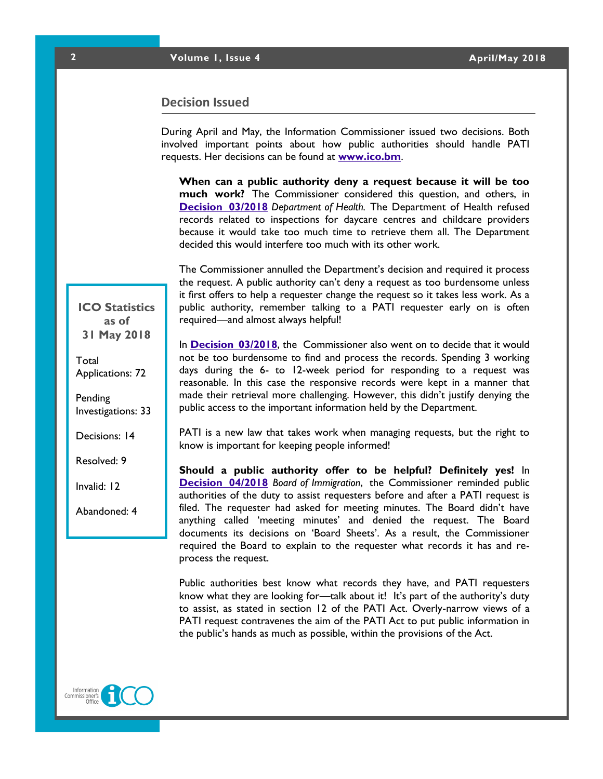### **Decision Issued**

During April and May, the Information Commissioner issued two decisions. Both involved important points about how public authorities should handle PATI requests. Her decisions can be found at **[www.ico.bm](http://www.ico.bm)**.

**When can a public authority deny a request because it will be too much work?** The Commissioner considered this question, and others, in **[Decision 03/2018](https://docs.wixstatic.com/ugd/5803dc_d3f41451675a428c87912796724c3d6d.pdf)** *Department of Health.* The Department of Health refused records related to inspections for daycare centres and childcare providers because it would take too much time to retrieve them all. The Department decided this would interfere too much with its other work.

The Commissioner annulled the Department's decision and required it process the request. A public authority can't deny a request as too burdensome unless it first offers to help a requester change the request so it takes less work. As a public authority, remember talking to a PATI requester early on is often required—and almost always helpful!

In **[Decision 03/2018](https://docs.wixstatic.com/ugd/5803dc_561b7506f6c84556a0315cd02b9d88e7.pdf)**, the Commissioner also went on to decide that it would not be too burdensome to find and process the records. Spending 3 working days during the 6- to 12-week period for responding to a request was reasonable. In this case the responsive records were kept in a manner that made their retrieval more challenging. However, this didn't justify denying the public access to the important information held by the Department.

PATI is a new law that takes work when managing requests, but the right to know is important for keeping people informed!

**Should a public authority offer to be helpful? Definitely yes!** In **[Decision 04/2018](https://docs.wixstatic.com/ugd/5803dc_e01bac78fe354d948abe8c7e4fba582b.pdfC:/Users/gsgutierrez/Documents/ACT)** *Board of Immigration*, the Commissioner reminded public authorities of the duty to assist requesters before and after a PATI request is filed. The requester had asked for meeting minutes. The Board didn't have anything called 'meeting minutes' and denied the request. The Board documents its decisions on 'Board Sheets'. As a result, the Commissioner required the Board to explain to the requester what records it has and reprocess the request.

Public authorities best know what records they have, and PATI requesters know what they are looking for—talk about it! It's part of the authority's duty to assist, as stated in section 12 of the PATI Act. Overly-narrow views of a PATI request contravenes the aim of the PATI Act to put public information in the public's hands as much as possible, within the provisions of the Act.



**ICO Statistics as of 31 May 2018**

Total Applications: 72

Pending Investigations: 33

Decisions: 14

Resolved: 9

Invalid: 12

Abandoned: 4